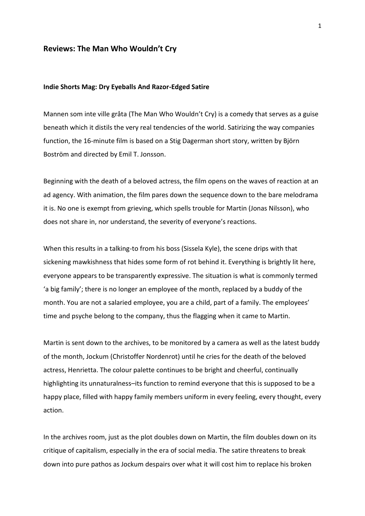# **Reviews: The Man Who Wouldn't Cry**

### **Indie Shorts Mag: Dry Eyeballs And Razor-Edged Satire**

Mannen som inte ville gråta (The Man Who Wouldn't Cry) is a comedy that serves as a guise beneath which it distils the very real tendencies of the world. Satirizing the way companies function, the 16-minute film is based on a Stig Dagerman short story, written by Björn Boström and directed by Emil T. Jonsson.

Beginning with the death of a beloved actress, the film opens on the waves of reaction at an ad agency. With animation, the film pares down the sequence down to the bare melodrama it is. No one is exempt from grieving, which spells trouble for Martin (Jonas Nilsson), who does not share in, nor understand, the severity of everyone's reactions.

When this results in a talking-to from his boss (Sissela Kyle), the scene drips with that sickening mawkishness that hides some form of rot behind it. Everything is brightly lit here, everyone appears to be transparently expressive. The situation is what is commonly termed 'a big family'; there is no longer an employee of the month, replaced by a buddy of the month. You are not a salaried employee, you are a child, part of a family. The employees' time and psyche belong to the company, thus the flagging when it came to Martin.

Martin is sent down to the archives, to be monitored by a camera as well as the latest buddy of the month, Jockum (Christoffer Nordenrot) until he cries for the death of the beloved actress, Henrietta. The colour palette continues to be bright and cheerful, continually highlighting its unnaturalness–its function to remind everyone that this is supposed to be a happy place, filled with happy family members uniform in every feeling, every thought, every action.

In the archives room, just as the plot doubles down on Martin, the film doubles down on its critique of capitalism, especially in the era of social media. The satire threatens to break down into pure pathos as Jockum despairs over what it will cost him to replace his broken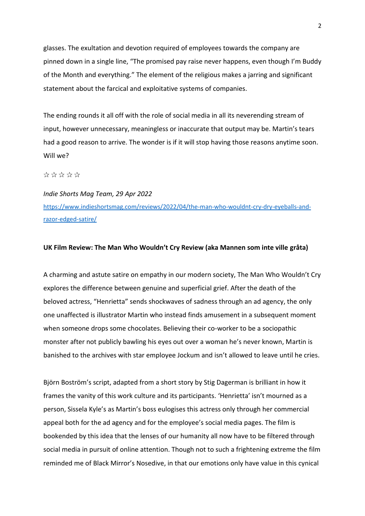glasses. The exultation and devotion required of employees towards the company are pinned down in a single line, "The promised pay raise never happens, even though I'm Buddy of the Month and everything." The element of the religious makes a jarring and significant statement about the farcical and exploitative systems of companies.

The ending rounds it all off with the role of social media in all its neverending stream of input, however unnecessary, meaningless or inaccurate that output may be. Martin's tears had a good reason to arrive. The wonder is if it will stop having those reasons anytime soon. Will we?

# ✰ ✰ ✰ ✰ ✰

# *Indie Shorts Mag Team, 29 Apr 2022* https://www.indieshortsmag.com/reviews/2022/04/the-man-who-wouldnt-cry-dry-eyeballs-andrazor-edged-satire/

## **UK Film Review: The Man Who Wouldn't Cry Review (aka Mannen som inte ville gråta)**

A charming and astute satire on empathy in our modern society, The Man Who Wouldn't Cry explores the difference between genuine and superficial grief. After the death of the beloved actress, "Henrietta" sends shockwaves of sadness through an ad agency, the only one unaffected is illustrator Martin who instead finds amusement in a subsequent moment when someone drops some chocolates. Believing their co-worker to be a sociopathic monster after not publicly bawling his eyes out over a woman he's never known, Martin is banished to the archives with star employee Jockum and isn't allowed to leave until he cries.

Björn Boström's script, adapted from a short story by Stig Dagerman is brilliant in how it frames the vanity of this work culture and its participants. 'Henrietta' isn't mourned as a person, Sissela Kyle's as Martin's boss eulogises this actress only through her commercial appeal both for the ad agency and for the employee's social media pages. The film is bookended by this idea that the lenses of our humanity all now have to be filtered through social media in pursuit of online attention. Though not to such a frightening extreme the film reminded me of Black Mirror's Nosedive, in that our emotions only have value in this cynical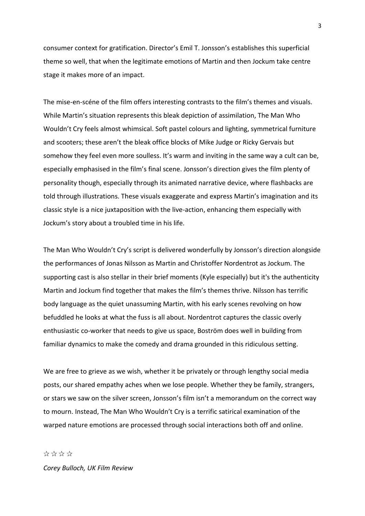consumer context for gratification. Director's Emil T. Jonsson's establishes this superficial theme so well, that when the legitimate emotions of Martin and then Jockum take centre stage it makes more of an impact.

The mise-en-scéne of the film offers interesting contrasts to the film's themes and visuals. While Martin's situation represents this bleak depiction of assimilation, The Man Who Wouldn't Cry feels almost whimsical. Soft pastel colours and lighting, symmetrical furniture and scooters; these aren't the bleak office blocks of Mike Judge or Ricky Gervais but somehow they feel even more soulless. It's warm and inviting in the same way a cult can be, especially emphasised in the film's final scene. Jonsson's direction gives the film plenty of personality though, especially through its animated narrative device, where flashbacks are told through illustrations. These visuals exaggerate and express Martin's imagination and its classic style is a nice juxtaposition with the live-action, enhancing them especially with Jockum's story about a troubled time in his life.

The Man Who Wouldn't Cry's script is delivered wonderfully by Jonsson's direction alongside the performances of Jonas Nilsson as Martin and Christoffer Nordentrot as Jockum. The supporting cast is also stellar in their brief moments (Kyle especially) but it's the authenticity Martin and Jockum find together that makes the film's themes thrive. Nilsson has terrific body language as the quiet unassuming Martin, with his early scenes revolving on how befuddled he looks at what the fuss is all about. Nordentrot captures the classic overly enthusiastic co-worker that needs to give us space, Boström does well in building from familiar dynamics to make the comedy and drama grounded in this ridiculous setting.

We are free to grieve as we wish, whether it be privately or through lengthy social media posts, our shared empathy aches when we lose people. Whether they be family, strangers, or stars we saw on the silver screen, Jonsson's film isn't a memorandum on the correct way to mourn. Instead, The Man Who Wouldn't Cry is a terrific satirical examination of the warped nature emotions are processed through social interactions both off and online.

✰ ✰ ✰ ✰ *Corey Bulloch, UK Film Review*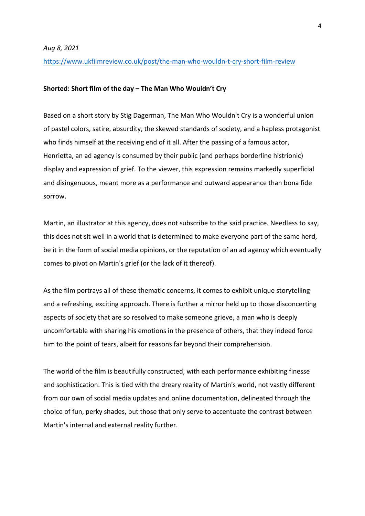*Aug 8, 2021*

https://www.ukfilmreview.co.uk/post/the-man-who-wouldn-t-cry-short-film-review

## **Shorted: Short film of the day – The Man Who Wouldn't Cry**

Based on a short story by Stig Dagerman, The Man Who Wouldn't Cry is a wonderful union of pastel colors, satire, absurdity, the skewed standards of society, and a hapless protagonist who finds himself at the receiving end of it all. After the passing of a famous actor, Henrietta, an ad agency is consumed by their public (and perhaps borderline histrionic) display and expression of grief. To the viewer, this expression remains markedly superficial and disingenuous, meant more as a performance and outward appearance than bona fide sorrow.

Martin, an illustrator at this agency, does not subscribe to the said practice. Needless to say, this does not sit well in a world that is determined to make everyone part of the same herd, be it in the form of social media opinions, or the reputation of an ad agency which eventually comes to pivot on Martin's grief (or the lack of it thereof).

As the film portrays all of these thematic concerns, it comes to exhibit unique storytelling and a refreshing, exciting approach. There is further a mirror held up to those disconcerting aspects of society that are so resolved to make someone grieve, a man who is deeply uncomfortable with sharing his emotions in the presence of others, that they indeed force him to the point of tears, albeit for reasons far beyond their comprehension.

The world of the film is beautifully constructed, with each performance exhibiting finesse and sophistication. This is tied with the dreary reality of Martin's world, not vastly different from our own of social media updates and online documentation, delineated through the choice of fun, perky shades, but those that only serve to accentuate the contrast between Martin's internal and external reality further.